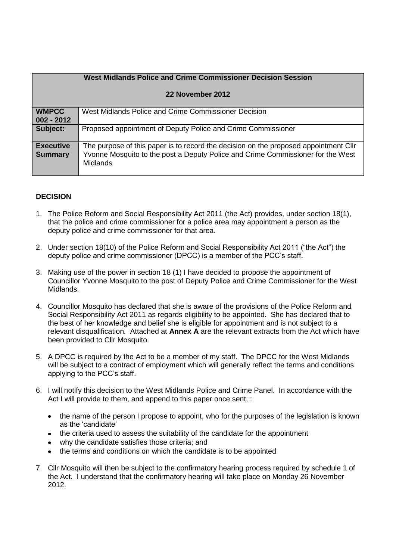| West Midlands Police and Crime Commissioner Decision Session |                                                                                                                                                                                            |  |
|--------------------------------------------------------------|--------------------------------------------------------------------------------------------------------------------------------------------------------------------------------------------|--|
|                                                              | 22 November 2012                                                                                                                                                                           |  |
| <b>WMPCC</b><br>$002 - 2012$                                 | West Midlands Police and Crime Commissioner Decision                                                                                                                                       |  |
| Subject:                                                     | Proposed appointment of Deputy Police and Crime Commissioner                                                                                                                               |  |
| <b>Executive</b><br><b>Summary</b>                           | The purpose of this paper is to record the decision on the proposed appointment Cllr<br>Yvonne Mosquito to the post a Deputy Police and Crime Commissioner for the West<br><b>Midlands</b> |  |

# **DECISION**

- 1. The Police Reform and Social Responsibility Act 2011 (the Act) provides, under section 18(1), that the police and crime commissioner for a police area may appointment a person as the deputy police and crime commissioner for that area.
- 2. Under section 18(10) of the Police Reform and Social Responsibility Act 2011 ("the Act") the deputy police and crime commissioner (DPCC) is a member of the PCC's staff.
- 3. Making use of the power in section 18 (1) I have decided to propose the appointment of Councillor Yvonne Mosquito to the post of Deputy Police and Crime Commissioner for the West Midlands.
- 4. Councillor Mosquito has declared that she is aware of the provisions of the Police Reform and Social Responsibility Act 2011 as regards eligibility to be appointed. She has declared that to the best of her knowledge and belief she is eligible for appointment and is not subject to a relevant disqualification. Attached at **Annex A** are the relevant extracts from the Act which have been provided to Cllr Mosquito.
- 5. A DPCC is required by the Act to be a member of my staff. The DPCC for the West Midlands will be subject to a contract of employment which will generally reflect the terms and conditions applying to the PCC's staff.
- 6. I will notify this decision to the West Midlands Police and Crime Panel. In accordance with the Act I will provide to them, and append to this paper once sent, :
	- the name of the person I propose to appoint, who for the purposes of the legislation is known as the 'candidate'
	- the criteria used to assess the suitability of the candidate for the appointment
	- why the candidate satisfies those criteria; and
	- the terms and conditions on which the candidate is to be appointed
- 7. Cllr Mosquito will then be subject to the confirmatory hearing process required by schedule 1 of the Act. I understand that the confirmatory hearing will take place on Monday 26 November 2012.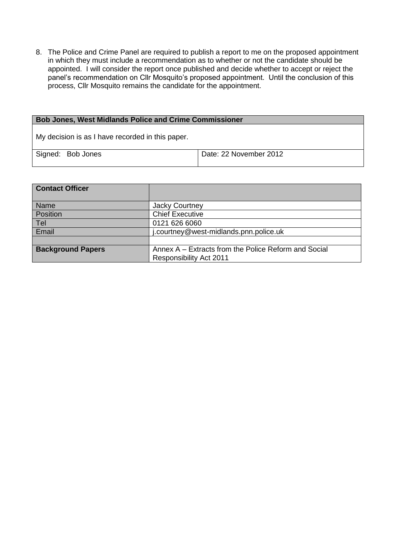8. The Police and Crime Panel are required to publish a report to me on the proposed appointment in which they must include a recommendation as to whether or not the candidate should be appointed. I will consider the report once published and decide whether to accept or reject the panel's recommendation on Cllr Mosquito's proposed appointment. Until the conclusion of this process, Cllr Mosquito remains the candidate for the appointment.

## **Bob Jones, West Midlands Police and Crime Commissioner**

My decision is as I have recorded in this paper.

| Signed: Bob Jones | Date: 22 November 2012 |
|-------------------|------------------------|
|                   |                        |

| <b>Contact Officer</b>   |                                                      |
|--------------------------|------------------------------------------------------|
|                          |                                                      |
| Name                     | Jacky Courtney                                       |
| Position                 | <b>Chief Executive</b>                               |
| Tel                      | 0121 626 6060                                        |
| Email                    | i.courtney@west-midlands.pnn.police.uk               |
|                          |                                                      |
| <b>Background Papers</b> | Annex A – Extracts from the Police Reform and Social |
|                          | <b>Responsibility Act 2011</b>                       |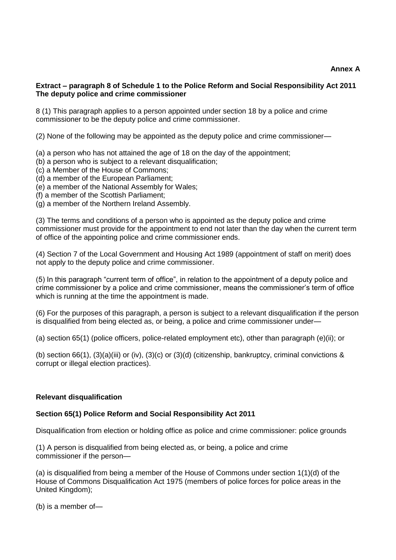## **Annex A**

### **Extract – paragraph 8 of Schedule 1 to the Police Reform and Social Responsibility Act 2011 The deputy police and crime commissioner**

8 (1) This paragraph applies to a person appointed under section 18 by a police and crime commissioner to be the deputy police and crime commissioner.

(2) None of the following may be appointed as the deputy police and crime commissioner—

(a) a person who has not attained the age of 18 on the day of the appointment;

- (b) a person who is subject to a relevant disqualification;
- (c) a Member of the House of Commons;
- (d) a member of the European Parliament;
- (e) a member of the National Assembly for Wales;
- (f) a member of the Scottish Parliament;
- (g) a member of the Northern Ireland Assembly.

(3) The terms and conditions of a person who is appointed as the deputy police and crime commissioner must provide for the appointment to end not later than the day when the current term of office of the appointing police and crime commissioner ends.

(4) Section 7 of the Local Government and Housing Act 1989 (appointment of staff on merit) does not apply to the deputy police and crime commissioner.

(5) In this paragraph "current term of office", in relation to the appointment of a deputy police and crime commissioner by a police and crime commissioner, means the commissioner's term of office which is running at the time the appointment is made.

(6) For the purposes of this paragraph, a person is subject to a relevant disqualification if the person is disqualified from being elected as, or being, a police and crime commissioner under—

(a) section 65(1) (police officers, police-related employment etc), other than paragraph (e)(ii); or

(b) section 66(1), (3)(a)(iii) or (iv), (3)(c) or (3)(d) (citizenship, bankruptcy, criminal convictions & corrupt or illegal election practices).

### **Relevant disqualification**

### **Section 65(1) Police Reform and Social Responsibility Act 2011**

Disqualification from election or holding office as police and crime commissioner: police grounds

(1) A person is disqualified from being elected as, or being, a police and crime commissioner if the person—

(a) is disqualified from being a member of the House of Commons under section 1(1)(d) of the House of Commons Disqualification Act 1975 (members of police forces for police areas in the United Kingdom);

(b) is a member of—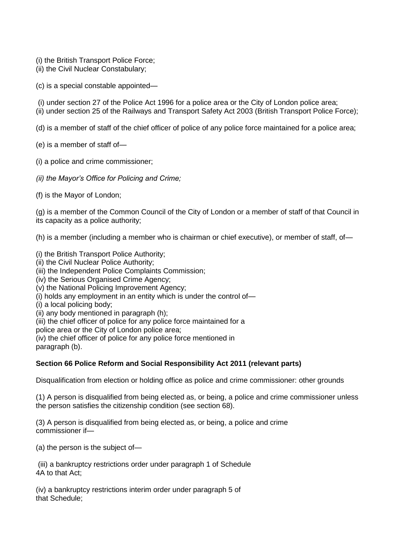(i) the British Transport Police Force;

- (ii) the Civil Nuclear Constabulary;
- (c) is a special constable appointed—

(i) under section 27 of the Police Act 1996 for a police area or the City of London police area;

(ii) under section 25 of the Railways and Transport Safety Act 2003 (British Transport Police Force);

(d) is a member of staff of the chief officer of police of any police force maintained for a police area;

(e) is a member of staff of—

- (i) a police and crime commissioner;
- *(ii) the Mayor's Office for Policing and Crime;*

(f) is the Mayor of London;

(g) is a member of the Common Council of the City of London or a member of staff of that Council in its capacity as a police authority;

(h) is a member (including a member who is chairman or chief executive), or member of staff, of—

(i) the British Transport Police Authority;

- (ii) the Civil Nuclear Police Authority;
- (iii) the Independent Police Complaints Commission;

(iv) the Serious Organised Crime Agency;

(v) the National Policing Improvement Agency;

- (i) holds any employment in an entity which is under the control of—
- (i) a local policing body;
- (ii) any body mentioned in paragraph (h);
- (iii) the chief officer of police for any police force maintained for a
- police area or the City of London police area;

(iv) the chief officer of police for any police force mentioned in paragraph (b).

### **Section 66 Police Reform and Social Responsibility Act 2011 (relevant parts)**

Disqualification from election or holding office as police and crime commissioner: other grounds

(1) A person is disqualified from being elected as, or being, a police and crime commissioner unless the person satisfies the citizenship condition (see section 68).

(3) A person is disqualified from being elected as, or being, a police and crime commissioner if—

(a) the person is the subject of—

(iii) a bankruptcy restrictions order under paragraph 1 of Schedule 4A to that Act;

(iv) a bankruptcy restrictions interim order under paragraph 5 of that Schedule;